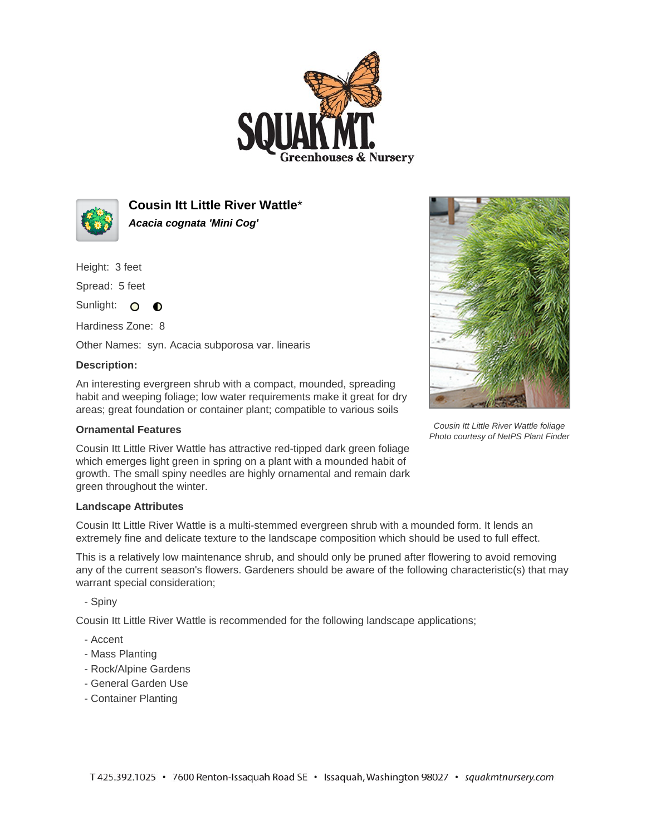



**Cousin Itt Little River Wattle**\* **Acacia cognata 'Mini Cog'**

Height: 3 feet

Spread: 5 feet

Sunlight: O **O** 

Hardiness Zone: 8

Other Names: syn. Acacia subporosa var. linearis

## **Description:**

An interesting evergreen shrub with a compact, mounded, spreading habit and weeping foliage; low water requirements make it great for dry areas; great foundation or container plant; compatible to various soils

## **Ornamental Features**

Cousin Itt Little River Wattle has attractive red-tipped dark green foliage which emerges light green in spring on a plant with a mounded habit of growth. The small spiny needles are highly ornamental and remain dark green throughout the winter.

## **Landscape Attributes**

Cousin Itt Little River Wattle is a multi-stemmed evergreen shrub with a mounded form. It lends an extremely fine and delicate texture to the landscape composition which should be used to full effect.

This is a relatively low maintenance shrub, and should only be pruned after flowering to avoid removing any of the current season's flowers. Gardeners should be aware of the following characteristic(s) that may warrant special consideration;

- Spiny

Cousin Itt Little River Wattle is recommended for the following landscape applications;

- Accent
- Mass Planting
- Rock/Alpine Gardens
- General Garden Use
- Container Planting



Cousin Itt Little River Wattle foliage Photo courtesy of NetPS Plant Finder